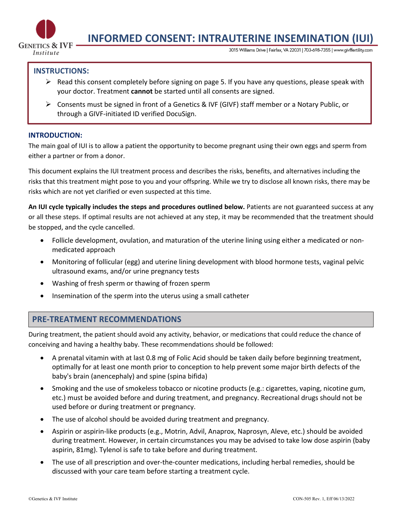

# **INFORMED CONSENT: INTRAUTERINE INSEMINATION (IUI)**

3015 Williams Drive | Fairfax, VA 22031 | 703-698-7355 | www.givffertility.com

#### **INSTRUCTIONS:**

- $\triangleright$  Read this consent completely before signing on page 5. If you have any questions, please speak with your doctor. Treatment **cannot** be started until all consents are signed.
- Ø Consents must be signed in front of a Genetics & IVF (GIVF) staff member or a Notary Public, or through a GIVF-initiated ID verified DocuSign.

#### **INTRODUCTION:**

The main goal of IUI is to allow a patient the opportunity to become pregnant using their own eggs and sperm from either a partner or from a donor.

This document explains the IUI treatment process and describes the risks, benefits, and alternatives including the risks that this treatment might pose to you and your offspring. While we try to disclose all known risks, there may be risks which are not yet clarified or even suspected at this time.

**An IUI cycle typically includes the steps and procedures outlined below.** Patients are not guaranteed success at any or all these steps. If optimal results are not achieved at any step, it may be recommended that the treatment should be stopped, and the cycle cancelled.

- Follicle development, ovulation, and maturation of the uterine lining using either a medicated or nonmedicated approach
- Monitoring of follicular (egg) and uterine lining development with blood hormone tests, vaginal pelvic ultrasound exams, and/or urine pregnancy tests
- Washing of fresh sperm or thawing of frozen sperm
- Insemination of the sperm into the uterus using a small catheter

## **PRE-TREATMENT RECOMMENDATIONS**

During treatment, the patient should avoid any activity, behavior, or medications that could reduce the chance of conceiving and having a healthy baby. These recommendations should be followed:

- A prenatal vitamin with at last 0.8 mg of Folic Acid should be taken daily before beginning treatment, optimally for at least one month prior to conception to help prevent some major birth defects of the baby's brain (anencephaly) and spine (spina bifida)
- Smoking and the use of smokeless tobacco or nicotine products (e.g.: cigarettes, vaping, nicotine gum, etc.) must be avoided before and during treatment, and pregnancy. Recreational drugs should not be used before or during treatment or pregnancy.
- The use of alcohol should be avoided during treatment and pregnancy.
- Aspirin or aspirin-like products (e.g., Motrin, Advil, Anaprox, Naprosyn, Aleve, etc.) should be avoided during treatment. However, in certain circumstances you may be advised to take low dose aspirin (baby aspirin, 81mg). Tylenol is safe to take before and during treatment.
- The use of all prescription and over-the-counter medications, including herbal remedies, should be discussed with your care team before starting a treatment cycle.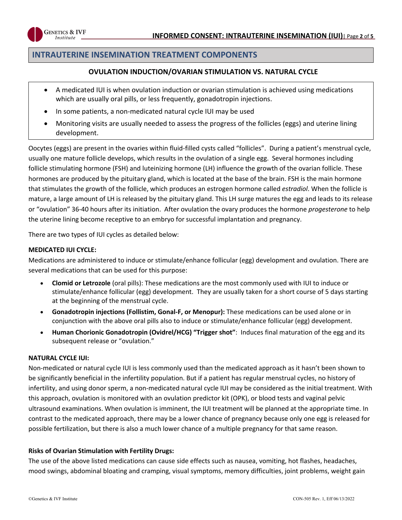

## **INTRAUTERINE INSEMINATION TREATMENT COMPONENTS**

#### **OVULATION INDUCTION/OVARIAN STIMULATION VS. NATURAL CYCLE**

- A medicated IUI is when ovulation induction or ovarian stimulation is achieved using medications which are usually oral pills, or less frequently, gonadotropin injections.
- In some patients, a non-medicated natural cycle IUI may be used
- Monitoring visits are usually needed to assess the progress of the follicles (eggs) and uterine lining development.

Oocytes (eggs) are present in the ovaries within fluid-filled cysts called "follicles". During a patient's menstrual cycle, usually one mature follicle develops, which results in the ovulation of a single egg. Several hormones including follicle stimulating hormone (FSH) and luteinizing hormone (LH) influence the growth of the ovarian follicle. These hormones are produced by the pituitary gland, which is located at the base of the brain. FSH is the main hormone that stimulates the growth of the follicle, which produces an estrogen hormone called *estradiol*. When the follicle is mature, a large amount of LH is released by the pituitary gland. This LH surge matures the egg and leads to its release or "ovulation" 36-40 hours after its initiation. After ovulation the ovary produces the hormone *progesterone* to help the uterine lining become receptive to an embryo for successful implantation and pregnancy.

There are two types of IUI cycles as detailed below:

#### **MEDICATED IUI CYCLE:**

Medications are administered to induce or stimulate/enhance follicular (egg) development and ovulation. There are several medications that can be used for this purpose:

- **Clomid or Letrozole** (oral pills): These medications are the most commonly used with IUI to induce or stimulate/enhance follicular (egg) development. They are usually taken for a short course of 5 days starting at the beginning of the menstrual cycle.
- **Gonadotropin injections (Follistim, Gonal-F, or Menopur):** These medications can be used alone or in conjunction with the above oral pills also to induce or stimulate/enhance follicular (egg) development.
- **Human Chorionic Gonadotropin (Ovidrel/HCG) "Trigger shot"**: Induces final maturation of the egg and its subsequent release or "ovulation."

#### **NATURAL CYCLE IUI:**

Non-medicated or natural cycle IUI is less commonly used than the medicated approach as it hasn't been shown to be significantly beneficial in the infertility population. But if a patient has regular menstrual cycles, no history of infertility, and using donor sperm, a non-medicated natural cycle IUI may be considered as the initial treatment. With this approach, ovulation is monitored with an ovulation predictor kit (OPK), or blood tests and vaginal pelvic ultrasound examinations. When ovulation is imminent, the IUI treatment will be planned at the appropriate time. In contrast to the medicated approach, there may be a lower chance of pregnancy because only one egg is released for possible fertilization, but there is also a much lower chance of a multiple pregnancy for that same reason.

#### **Risks of Ovarian Stimulation with Fertility Drugs:**

The use of the above listed medications can cause side effects such as nausea, vomiting, hot flashes, headaches, mood swings, abdominal bloating and cramping, visual symptoms, memory difficulties, joint problems, weight gain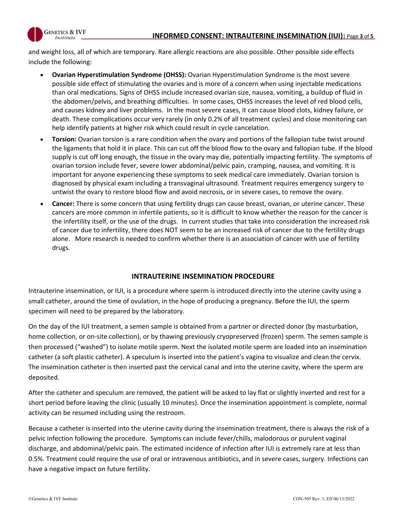

and weight loss, all of which are temporary. Rare allergic reactions are also possible. Other possible side effects include the following:

- **Ovarian Hyperstimulation Syndrome (OHSS):** Ovarian Hyperstimulation Syndrome is the most severe possible side effect of stimulating the ovaries and is more of a concern when using injectable medications than oral medications. Signs of OHSS include increased ovarian size, nausea, vomiting, a buildup of fluid in the abdomen/pelvis, and breathing difficulties. In some cases, OHSS increases the level of red blood cells, and causes kidney and liver problems. In the most severe cases, it can cause blood clots, kidney failure, or death. These complications occur very rarely (in only 0.2% of all treatment cycles) and close monitoring can help identify patients at higher risk which could result in cycle cancelation.
- **Torsion:** Ovarian torsion is a rare condition when the ovary and portions of the fallopian tube twist around the ligaments that hold it in place. This can cut off the blood flow to the ovary and fallopian tube. If the blood supply is cut off long enough, the tissue in the ovary may die, potentially impacting fertility. The symptoms of ovarian torsion include fever, severe lower abdominal/pelvic pain, cramping, nausea, and vomiting. It is important for anyone experiencing these symptoms to seek medical care immediately. Ovarian torsion is diagnosed by physical exam including a transvaginal ultrasound. Treatment requires emergency surgery to untwist the ovary to restore blood flow and avoid necrosis, or in severe cases, to remove the ovary.
- **Cancer:** There is some concern that using fertility drugs can cause breast, ovarian, or uterine cancer. These cancers are more common in infertile patients, so it is difficult to know whether the reason for the cancer is the infertility itself, or the use of the drugs. In current studies that take into consideration the increased risk of cancer due to infertility, there does NOT seem to be an increased risk of cancer due to the fertility drugs alone. More research is needed to confirm whether there is an association of cancer with use of fertility drugs.

## **INTRAUTERINE INSEMINATION PROCEDURE**

Intrauterine insemination, or IUI, is a procedure where sperm is introduced directly into the uterine cavity using a small catheter, around the time of ovulation, in the hope of producing a pregnancy. Before the IUI, the sperm specimen will need to be prepared by the laboratory.

On the day of the IUI treatment, a semen sample is obtained from a partner or directed donor (by masturbation, home collection, or on-site collection), or by thawing previously cryopreserved (frozen) sperm. The semen sample is then processed ("washed") to isolate motile sperm. Next the isolated motile sperm are loaded into an insemination catheter (a soft plastic catheter). A speculum is inserted into the patient's vagina to visualize and clean the cervix. The insemination catheter is then inserted past the cervical canal and into the uterine cavity, where the sperm are deposited.

After the catheter and speculum are removed, the patient will be asked to lay flat or slightly inverted and rest for a short period before leaving the clinic (usually 10 minutes). Once the insemination appointment is complete, normal activity can be resumed including using the restroom.

Because a catheter is inserted into the uterine cavity during the insemination treatment, there is always the risk of a pelvic infection following the procedure. Symptoms can include fever/chills, malodorous or purulent vaginal discharge, and abdominal/pelvic pain. The estimated incidence of infection after IUI is extremely rare at less than 0.5%. Treatment could require the use of oral or intravenous antibiotics, and in severe cases, surgery. Infections can have a negative impact on future fertility.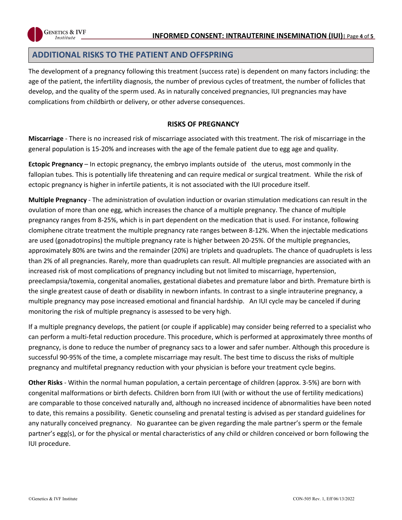

## **ADDITIONAL RISKS TO THE PATIENT AND OFFSPRING**

**GENETICS & IVF** *Institute* 

The development of a pregnancy following this treatment (success rate) is dependent on many factors including: the age of the patient, the infertility diagnosis, the number of previous cycles of treatment, the number of follicles that develop, and the quality of the sperm used. As in naturally conceived pregnancies, IUI pregnancies may have complications from childbirth or delivery, or other adverse consequences.

#### **RISKS OF PREGNANCY**

**Miscarriage** - There is no increased risk of miscarriage associated with this treatment. The risk of miscarriage in the general population is 15-20% and increases with the age of the female patient due to egg age and quality.

**Ectopic Pregnancy** – In ectopic pregnancy, the embryo implants outside of the uterus, most commonly in the fallopian tubes. This is potentially life threatening and can require medical or surgical treatment. While the risk of ectopic pregnancy is higher in infertile patients, it is not associated with the IUI procedure itself.

**Multiple Pregnancy** - The administration of ovulation induction or ovarian stimulation medications can result in the ovulation of more than one egg, which increases the chance of a multiple pregnancy. The chance of multiple pregnancy ranges from 8-25%, which is in part dependent on the medication that is used. For instance, following clomiphene citrate treatment the multiple pregnancy rate ranges between 8-12%. When the injectable medications are used (gonadotropins) the multiple pregnancy rate is higher between 20-25%. Of the multiple pregnancies, approximately 80% are twins and the remainder (20%) are triplets and quadruplets. The chance of quadruplets is less than 2% of all pregnancies. Rarely, more than quadruplets can result. All multiple pregnancies are associated with an increased risk of most complications of pregnancy including but not limited to miscarriage, hypertension, preeclampsia/toxemia, congenital anomalies, gestational diabetes and premature labor and birth. Premature birth is the single greatest cause of death or disability in newborn infants. In contrast to a single intrauterine pregnancy, a multiple pregnancy may pose increased emotional and financial hardship. An IUI cycle may be canceled if during monitoring the risk of multiple pregnancy is assessed to be very high.

If a multiple pregnancy develops, the patient (or couple if applicable) may consider being referred to a specialist who can perform a multi-fetal reduction procedure. This procedure, which is performed at approximately three months of pregnancy, is done to reduce the number of pregnancy sacs to a lower and safer number. Although this procedure is successful 90-95% of the time, a complete miscarriage may result. The best time to discuss the risks of multiple pregnancy and multifetal pregnancy reduction with your physician is before your treatment cycle begins.

**Other Risks** - Within the normal human population, a certain percentage of children (approx. 3-5%) are born with congenital malformations or birth defects. Children born from IUI (with or without the use of fertility medications) are comparable to those conceived naturally and, although no increased incidence of abnormalities have been noted to date, this remains a possibility. Genetic counseling and prenatal testing is advised as per standard guidelines for any naturally conceived pregnancy. No guarantee can be given regarding the male partner's sperm or the female partner's egg(s), or for the physical or mental characteristics of any child or children conceived or born following the IUI procedure.